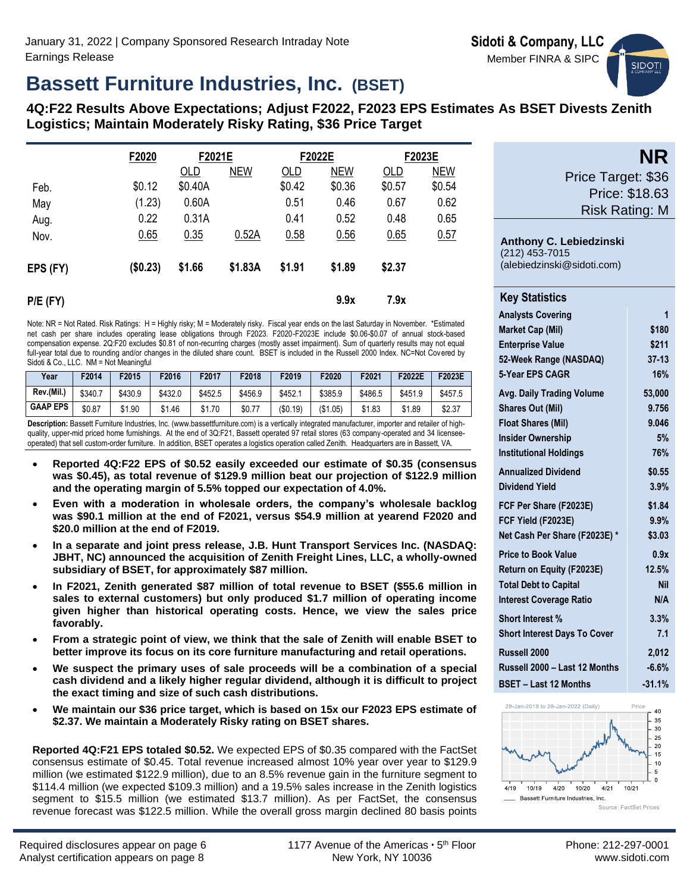

# **Bassett Furniture Industries, Inc. (BSET)**

**4Q:F22 Results Above Expectations; Adjust F2022, F2023 EPS Estimates As BSET Divests Zenith Logistics; Maintain Moderately Risky Rating, \$36 Price Target**

|            | F2020    | F2021E  |            |        | F2022E     |        | F2023E     |
|------------|----------|---------|------------|--------|------------|--------|------------|
|            |          | OLD     | <b>NEW</b> | OLD    | <b>NEW</b> | OLD    | <b>NEW</b> |
| Feb.       | \$0.12   | \$0.40A |            | \$0.42 | \$0.36     | \$0.57 | \$0.54     |
| May        | (1.23)   | 0.60A   |            | 0.51   | 0.46       | 0.67   | 0.62       |
| Aug.       | 0.22     | 0.31A   |            | 0.41   | 0.52       | 0.48   | 0.65       |
| Nov.       | 0.65     | 0.35    | 0.52A      | 0.58   | 0.56       | 0.65   | 0.57       |
| EPS (FY)   | (\$0.23) | \$1.66  | \$1.83A    | \$1.91 | \$1.89     | \$2.37 |            |
| $P/E$ (FY) |          |         |            |        | 9.9x       | 7.9x   |            |

Note: NR = Not Rated. Risk Ratings: H = Highly risky; M = Moderately risky. Fiscal year ends on the last Saturday in November. \*Estimated net cash per share includes operating lease obligations through F2023. F2020-F2023E include \$0.06-\$0.07 of annual stock-based compensation expense. 2Q:F20 excludes \$0.81 of non-recurring charges (mostly asset impairment). Sum of quarterly results may not equal full-year total due to rounding and/or changes in the diluted share count. BSET is included in the Russell 2000 Index. NC=Not Covered by Sidoti & Co., LLC. NM = Not Meaningful

| Year            | F2014   | F2015            | F2016   | F2017   | F2018   | F2019    | 52020    | F2021   | F2022E  | F2023E  |
|-----------------|---------|------------------|---------|---------|---------|----------|----------|---------|---------|---------|
| Rev.(Mil.,      | \$340.7 | \$430.9          | \$432.0 | \$452.5 | \$456.9 | \$452.   | \$385.9  | \$486.5 | \$451.9 | \$457.5 |
| <b>GAAP EPS</b> | \$0.87  | .90<br><b>01</b> | \$1.46  | \$1.70  | \$0.77  | (\$0.19) | (\$1.05) | \$1.83  | \$1.89  | \$2.37  |

**Description:** Bassett Furniture Industries, Inc. (www.bassettfurniture.com) is a vertically integrated manufacturer, importer and retailer of highquality, upper-mid priced home furnishings. At the end of 3Q:F21, Bassett operated 97 retail stores (63 company-operated and 34 licenseeoperated) that sell custom-order furniture. In addition, BSET operates a logistics operation called Zenith. Headquarters are in Bassett, VA.

- **Reported 4Q:F22 EPS of \$0.52 easily exceeded our estimate of \$0.35 (consensus was \$0.45), as total revenue of \$129.9 million beat our projection of \$122.9 million and the operating margin of 5.5% topped our expectation of 4.0%.**
- **Even with a moderation in wholesale orders, the company's wholesale backlog was \$90.1 million at the end of F2021, versus \$54.9 million at yearend F2020 and \$20.0 million at the end of F2019.**
- **In a separate and joint press release, J.B. Hunt Transport Services Inc. (NASDAQ: JBHT, NC) announced the acquisition of Zenith Freight Lines, LLC, a wholly-owned subsidiary of BSET, for approximately \$87 million.**
- **In F2021, Zenith generated \$87 million of total revenue to BSET (\$55.6 million in sales to external customers) but only produced \$1.7 million of operating income given higher than historical operating costs. Hence, we view the sales price favorably.**
- **From a strategic point of view, we think that the sale of Zenith will enable BSET to better improve its focus on its core furniture manufacturing and retail operations.**
- **We suspect the primary uses of sale proceeds will be a combination of a special cash dividend and a likely higher regular dividend, although it is difficult to project the exact timing and size of such cash distributions.**
- **We maintain our \$36 price target, which is based on 15x our F2023 EPS estimate of \$2.37. We maintain a Moderately Risky rating on BSET shares.**

**Reported 4Q:F21 EPS totaled \$0.52.** We expected EPS of \$0.35 compared with the FactSet consensus estimate of \$0.45. Total revenue increased almost 10% year over year to \$129.9 million (we estimated \$122.9 million), due to an 8.5% revenue gain in the furniture segment to \$114.4 million (we expected \$109.3 million) and a 19.5% sales increase in the Zenith logistics segment to \$15.5 million (we estimated \$13.7 million). As per FactSet, the consensus revenue forecast was \$122.5 million. While the overall gross margin declined 80 basis points

|                    | <b>NR</b>                   |
|--------------------|-----------------------------|
| Price Target: \$36 |                             |
|                    | $\mathbf{A}$ . $\mathbf{A}$ |

Price: \$18.63 Risk Rating: M

**Anthony C. Lebiedzinski** (212) 453-7015 (alebiedzinski@sidoti.com)

| <b>Key Statistics</b>               |            |
|-------------------------------------|------------|
| <b>Analysts Covering</b>            | 1          |
| <b>Market Cap (Mil)</b>             | \$180      |
| <b>Enterprise Value</b>             | \$211      |
| 52-Week Range (NASDAQ)              | $37 - 13$  |
| 5-Year EPS CAGR                     | 16%        |
| <b>Avg. Daily Trading Volume</b>    | 53,000     |
| <b>Shares Out (Mil)</b>             | 9.756      |
| <b>Float Shares (Mil)</b>           | 9.046      |
| <b>Insider Ownership</b>            | 5%         |
| <b>Institutional Holdings</b>       | 76%        |
| <b>Annualized Dividend</b>          | \$0.55     |
| <b>Dividend Yield</b>               | 3.9%       |
| FCF Per Share (F2023E)              | \$1.84     |
| FCF Yield (F2023E)                  | 9.9%       |
| Net Cash Per Share (F2023E)*        | \$3.03     |
| <b>Price to Book Value</b>          | 0.9x       |
| Return on Equity (F2023E)           | 12.5%      |
| <b>Total Debt to Capital</b>        | <b>Nil</b> |
| <b>Interest Coverage Ratio</b>      | N/A        |
| <b>Short Interest %</b>             | 3.3%       |
| <b>Short Interest Days To Cover</b> | 7.1        |
| Russell 2000                        | 2,012      |
| Russell 2000 - Last 12 Months       | $-6.6%$    |
| <b>BSET - Last 12 Months</b>        | $-31.1%$   |

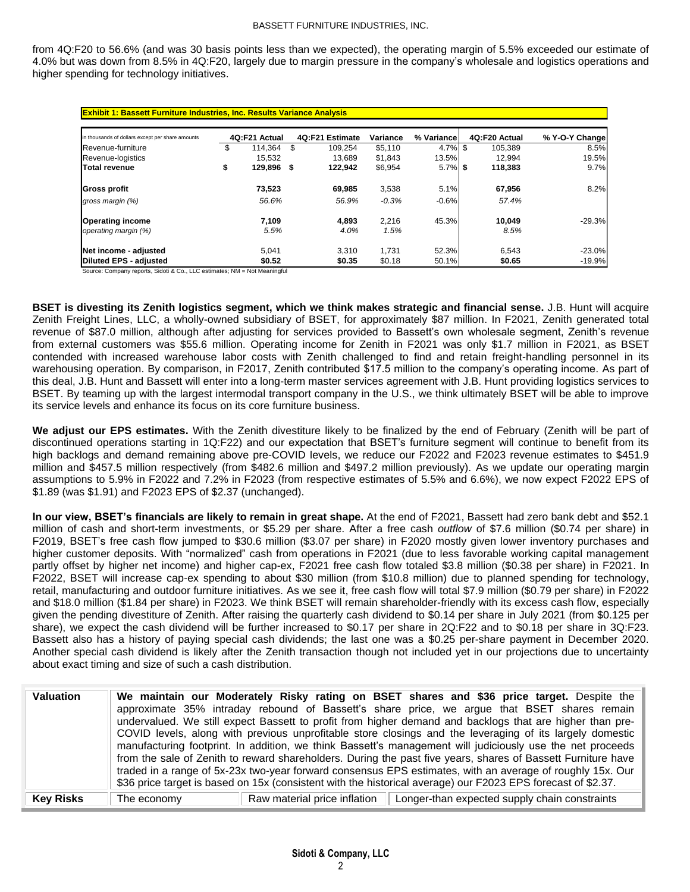from 4Q:F20 to 56.6% (and was 30 basis points less than we expected), the operating margin of 5.5% exceeded our estimate of 4.0% but was down from 8.5% in 4Q:F20, largely due to margin pressure in the company's wholesale and logistics operations and higher spending for technology initiatives.

| in thousands of dollars except per share amounts | 4Q:F21 Actual    |   | 4Q:F21 Estimate | Variance | % Variancel | 4Q:F20 Actual | % Y-O-Y Change |
|--------------------------------------------------|------------------|---|-----------------|----------|-------------|---------------|----------------|
| Revenue-furniture                                | 114.364          | S | 109.254         | \$5.110  | $4.7\%$ \$  | 105.389       | 8.5%           |
| Revenue-logistics                                | 15.532           |   | 13.689          | \$1.843  | 13.5%       | 12.994        | 19.5%          |
| <b>Total revenue</b>                             | \$<br>129,896 \$ |   | 122,942         | \$6,954  | $5.7\%$ \$  | 118,383       | 9.7%           |
| Gross profit                                     | 73,523           |   | 69,985          | 3,538    | 5.1%        | 67,956        | 8.2%           |
| gross margin (%)                                 | 56.6%            |   | 56.9%           | $-0.3%$  | $-0.6%$     | 57.4%         |                |
| <b>Operating income</b>                          | 7,109            |   | 4,893           | 2.216    | 45.3%       | 10.049        | $-29.3%$       |
| operating margin (%)                             | 5.5%             |   | 4.0%            | 1.5%     |             | 8.5%          |                |
| Net income - adjusted                            | 5.041            |   | 3.310           | 1.731    | 52.3%       | 6,543         | $-23.0%$       |
| <b>Diluted EPS - adjusted</b>                    | \$0.52           |   | \$0.35          | \$0.18   | 50.1%       | \$0.65        | $-19.9%$       |

Source: Company reports, Sidoti & Co., LLC estimates; NM = Not Meaningful

**BSET is divesting its Zenith logistics segment, which we think makes strategic and financial sense.** J.B. Hunt will acquire Zenith Freight Lines, LLC, a wholly-owned subsidiary of BSET, for approximately \$87 million. In F2021, Zenith generated total revenue of \$87.0 million, although after adjusting for services provided to Bassett's own wholesale segment, Zenith's revenue from external customers was \$55.6 million. Operating income for Zenith in F2021 was only \$1.7 million in F2021, as BSET contended with increased warehouse labor costs with Zenith challenged to find and retain freight-handling personnel in its warehousing operation. By comparison, in F2017, Zenith contributed \$17.5 million to the company's operating income. As part of this deal, J.B. Hunt and Bassett will enter into a long-term master services agreement with J.B. Hunt providing logistics services to BSET. By teaming up with the largest intermodal transport company in the U.S., we think ultimately BSET will be able to improve its service levels and enhance its focus on its core furniture business.

**We adjust our EPS estimates.** With the Zenith divestiture likely to be finalized by the end of February (Zenith will be part of discontinued operations starting in 1Q:F22) and our expectation that BSET's furniture segment will continue to benefit from its high backlogs and demand remaining above pre-COVID levels, we reduce our F2022 and F2023 revenue estimates to \$451.9 million and \$457.5 million respectively (from \$482.6 million and \$497.2 million previously). As we update our operating margin assumptions to 5.9% in F2022 and 7.2% in F2023 (from respective estimates of 5.5% and 6.6%), we now expect F2022 EPS of \$1.89 (was \$1.91) and F2023 EPS of \$2.37 (unchanged).

**In our view, BSET's financials are likely to remain in great shape.** At the end of F2021, Bassett had zero bank debt and \$52.1 million of cash and short-term investments, or \$5.29 per share. After a free cash *outflow* of \$7.6 million (\$0.74 per share) in F2019, BSET's free cash flow jumped to \$30.6 million (\$3.07 per share) in F2020 mostly given lower inventory purchases and higher customer deposits. With "normalized" cash from operations in F2021 (due to less favorable working capital management partly offset by higher net income) and higher cap-ex, F2021 free cash flow totaled \$3.8 million (\$0.38 per share) in F2021. In F2022, BSET will increase cap-ex spending to about \$30 million (from \$10.8 million) due to planned spending for technology, retail, manufacturing and outdoor furniture initiatives. As we see it, free cash flow will total \$7.9 million (\$0.79 per share) in F2022 and \$18.0 million (\$1.84 per share) in F2023. We think BSET will remain shareholder-friendly with its excess cash flow, especially given the pending divestiture of Zenith. After raising the quarterly cash dividend to \$0.14 per share in July 2021 (from \$0.125 per share), we expect the cash dividend will be further increased to \$0.17 per share in 2Q:F22 and to \$0.18 per share in 3Q:F23. Bassett also has a history of paying special cash dividends; the last one was a \$0.25 per-share payment in December 2020. Another special cash dividend is likely after the Zenith transaction though not included yet in our projections due to uncertainty about exact timing and size of such a cash distribution.

| Valuation        |             |                              | We maintain our Moderately Risky rating on BSET shares and \$36 price target. Despite the<br>approximate 35% intraday rebound of Bassett's share price, we argue that BSET shares remain<br>undervalued. We still expect Bassett to profit from higher demand and backlogs that are higher than pre-<br>COVID levels, along with previous unprofitable store closings and the leveraging of its largely domestic<br>manufacturing footprint. In addition, we think Bassett's management will judiciously use the net proceeds<br>from the sale of Zenith to reward shareholders. During the past five years, shares of Bassett Furniture have<br>traded in a range of 5x-23x two-year forward consensus EPS estimates, with an average of roughly 15x. Our<br>\$36 price target is based on 15x (consistent with the historical average) our F2023 EPS forecast of \$2.37. |
|------------------|-------------|------------------------------|----------------------------------------------------------------------------------------------------------------------------------------------------------------------------------------------------------------------------------------------------------------------------------------------------------------------------------------------------------------------------------------------------------------------------------------------------------------------------------------------------------------------------------------------------------------------------------------------------------------------------------------------------------------------------------------------------------------------------------------------------------------------------------------------------------------------------------------------------------------------------|
| <b>Key Risks</b> | The economy | Raw material price inflation | Longer-than expected supply chain constraints                                                                                                                                                                                                                                                                                                                                                                                                                                                                                                                                                                                                                                                                                                                                                                                                                              |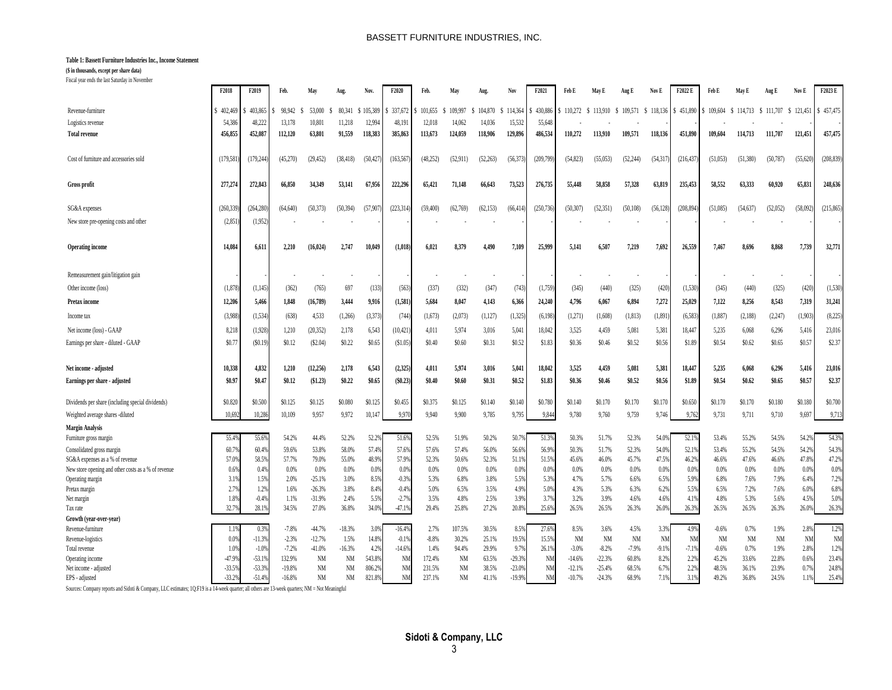#### BASSETT FURNITURE INDUSTRIES, INC.

#### **Table 1: Bassett Furniture Industries Inc., Income Statement**

#### **(\$ in thousands, except per share data)**

Fiscal year ends the last Saturday in November

|                                                     | F2018     | F2019      | Feb.     | May       |           | Nov           | F2020          | Feb.      | Ma        |           | Nο        | F2021     | Feb E     | May E         | Aug E     | Nov E     | F2022 E    | Feb E     | May F     | Aug E     | Nov E     | F2023 E    |
|-----------------------------------------------------|-----------|------------|----------|-----------|-----------|---------------|----------------|-----------|-----------|-----------|-----------|-----------|-----------|---------------|-----------|-----------|------------|-----------|-----------|-----------|-----------|------------|
| Revenue-furniture                                   | 402.469   | 403,865    | 98.942   | 53,000    | 80.341    | 105.389<br>-S | 337,672        | 101.655   | 109.997   | 104.870   | \$114,364 | 430.88    | 110.272   | 113,910<br>-S | \$109,571 | \$118,136 | 451,890    | 109,604   | \$114,713 | \$111,707 | \$121,451 | \$457,475  |
| Logistics revenue                                   | 54.386    | 48,222     | 13,178   | 10,801    | 11,218    | 12.994        | 48,191         | 12.018    | 14,062    | 14,036    | 15,532    | 55,648    |           |               |           |           |            |           |           |           |           |            |
| <b>Total revenue</b>                                | 456,855   | 452,087    | 112,120  | 63,801    | 91,559    | 118,383       | 385,863        | 113,673   | 124,059   | 118,906   | 129,896   | 486,534   | 110,272   | 113,910       | 109,571   | 118,136   | 451,890    | 109,604   | 114,713   | 111,707   | 121,451   | 457,475    |
|                                                     |           |            |          |           |           |               |                |           |           |           |           |           |           |               |           |           |            |           |           |           |           |            |
| Cost of furniture and accessories sold              | (179, 58) | (179, 244) | (45,270) | (29, 452) | (38, 418) | (50, 427)     | (163, 567)     | (48.252)  | (52, 911) | (52, 263) | (56.373)  | (209,799) | (54, 823) | (55,053)      | (52, 244) | (54, 31)  | (216, 437) | (51,053)  | (51.380)  | (50, 787) | (55, 620) | (208, 839) |
| <b>Gross profit</b>                                 | 277,274   | 272,843    | 66,850   | 34,349    | 53,141    | 67,956        | 222,296        | 65,421    | 71,148    | 66,643    | 73.523    | 276,735   | 55,448    | 58,858        | 57,328    | 63,819    | 235,453    | 58,552    | 63.333    | 60,920    | 65,831    | 248,636    |
| SG&A expenses                                       | (260.33)  | (264.280   | (64.640) | (50.373)  | (50.394)  | (57.907       | (223.314)      | (59, 400) | (62.769)  | (62, 153) | (66.414)  | (250.736) | (50.307)  | (52.351)      | (50, 108) | (56.128)  | (208.894)  | (51.085)  | (54.637)  | (52.052)  | (58.092)  | (215.865)  |
| New store pre-opening costs and other               | (2,85)    | (1,952)    |          |           |           |               |                |           |           |           |           |           |           |               |           |           |            |           |           |           |           |            |
| <b>Operating income</b>                             | 14.08     | 6,611      | 2.210    | (16.024)  | 2.747     | 10,049        | (1,018)        | 6.021     | 8.379     | 4.490     | 7.109     | 25,999    | 5.141     | 6.507         | 7,219     | 7.69      | 26,559     | 7,467     | 8.696     | 8,868     | 7,739     | 32,771     |
| Remeasurement gain/litigation gain                  |           |            |          |           |           |               |                |           |           |           |           |           |           |               |           |           |            |           |           |           |           |            |
| Other income (loss)                                 | (1,87)    | (1,145)    | (362)    | (765)     | 697       | (133)         | (563)          | (337)     | (332)     | (347)     | (743)     | (1,759)   | (345)     | (440)         | (325)     | (420)     | (1,530)    | (345)     | (440)     | (325)     | (420)     | (1,530)    |
|                                                     | 12.206    | 5,466      | 1.848    | (16, 789) | 3,444     | 9,916         | (1,581)        | 5,684     | 8,047     | 4,143     | 6,366     | 24,240    | 4.796     | 6,067         | 6,894     | 7,272     | 25,029     | 7,122     | 8,256     | 8,543     |           | 31,241     |
| Pretax income                                       |           |            |          |           |           |               |                |           |           |           |           |           |           |               |           |           |            |           |           |           | 7,319     |            |
| Income tax                                          | (3.988)   | (1, 534)   | (638)    | 4,533     | (1,266)   | (3, 373)      | (744)          | (1,673)   | (2,073)   | (1, 127)  | (1, 325)  | (6, 198)  | (1,271)   | (1,608)       | (1, 813)  | (1, 891)  | (6.583)    | (1,887)   | (2,188)   | (2,247)   | (1,903)   | (8,225)    |
| Net income (loss) - GAAP                            | 8,218     | (1,928)    | 1,210    | (20, 352) | 2,178     | 6,543         | (10, 421)      | 4,011     | 5,974     | 3,016     | 5,041     | 18,042    | 3.525     | 4,459         | 5,081     | 5,381     | 18,447     | 5,235     | 6,068     | 6,296     | 5,416     | 23,016     |
| Earnings per share - diluted - GAAP                 | \$0.7     | (\$0.19    | \$0.12   | (S2.04)   | \$0.22    | \$0.65        | (S1.05)        | \$0.40    | \$0.60    | \$0.31    | \$0.52    | \$1.83    | \$0.36    | \$0.46        | \$0.52    | \$0.56    | \$1.89     | \$0.54    | \$0.62    | \$0.65    | \$0.57    | \$2.37     |
| Net income - adjusted                               | 10.33     | 4,832      | 1.210    | (12, 256) | 2,178     | 6,543         | (2,325)        | 4.011     | 5,974     | 3,016     | 5,041     | 18,042    | 3.525     | 4.459         | 5,081     | 5,38      | 18,44      | 5.235     | 6.068     | 6.296     | 5,41      | 23,016     |
| Earnings per share - adjusted                       | \$0.97    | \$0.47     | \$0.12   | (\$1.23)  | \$0.22    | \$0.65        | (\$0.23)       | \$0.40    | \$0.60    | \$0.31    | \$0.52    | \$1.83    | \$0.36    | \$0.46        | \$0.52    | \$0.56    | \$1.89     | \$0.54    | \$0.62    | \$0.65    | \$0.57    | \$2.37     |
|                                                     |           |            |          |           |           |               |                |           |           |           |           |           |           |               |           |           |            |           |           |           |           |            |
| Dividends per share (including special dividends)   | \$0.82    | \$0.500    | \$0.125  | \$0.125   | \$0.080   | \$0.125       | \$0.455        | \$0.375   | \$0.125   | \$0.140   | \$0.140   | \$0.780   | \$0.140   | \$0.170       | \$0.170   | \$0.170   | \$0.65     | \$0.170   | \$0.170   | \$0.180   | \$0.180   | \$0,700    |
| Weighted average shares -diluted                    | 10.69     | 10,286     | 10,109   | 9.957     | 9.972     | 10,147        | 9,970          | 9.940     | 9,900     | 9,785     | 9.795     | 9,844     | 9,780     | 9,760         | 9,759     | 9.746     | 9,762      | 9,731     | 9,711     | 9,710     | 9.697     | 9,713      |
| <b>Margin Analysis</b>                              |           |            |          |           |           |               |                |           |           |           |           |           |           |               |           |           |            |           |           |           |           |            |
| Furniture gross margin                              | 55.49     | 55.69      | 54.2%    | 44.4%     | 52.2%     | 52.2          | 51.6%          | 52.5%     | 51.9%     | 50.2%     | 50.7      | 51.39     | 50.3%     | 51.7%         | 52.3%     | 54.0      | 52.19      | 53.4%     | 55.2%     | 54.5%     | 54.29     | 54.3%      |
| Consolidated gross margin                           | 60.79     | 60.4%      | 59.6%    | 53.8%     | 58.0%     | 57.4%         | 57.6%          | 57.6%     | 57.4%     | 56.0%     | 56.6%     | 56.9%     | 50.3%     | 51.7%         | 52.3%     | 54.0%     | 52.1%      | 53.4%     | 55.2%     | 54.5%     | 54.29     | 54.3%      |
| SG&A expenses as a % of revenue                     | 57.09     | 58.59      | 57.7%    | 79.0%     | 55.0%     | 48.9%         | 57.9%          | 52.3%     | 50.6%     | 52.3%     | 51.1%     | 51.5%     | 45.6%     | 46.0%         | 45.7%     | 47.5%     | 46.2%      | 46.6%     | 47.6%     | 46.6%     | 47.89     | 47.2%      |
| New store opening and other costs as a % of revenue | 0.69      | 0.49       | 0.0%     | 0.0%      | 0.0%      | 0.09          | 0.09           | 0.0%      | 0.0%      | 0.0%      | 0.0%      | 0.0%      | 0.0%      | 0.0%          | 0.0%      | 0.09      | 0.0%       | 0.0%      | 0.0%      | 0.0%      | 0.09      | 0.0%       |
| Operating margin                                    | 3.19      | 1.5%       | 2.0%     | $-25.1%$  | 3.0%      | 8.5%          | $-0.3%$        | 5.3%      | 6.8%      | 3.8%      | 5.5%      | 5.3%      | 4.7%      | 5.7%          | 6.6%      | 6.5%      | 5.99       | 6.8%      | 7.6%      | 7.9%      | 6.49      | 7.2%       |
| Pretax margin                                       | 2.79      | 1.2%       | 1.6%     | $-26.3%$  | 3.8%      | 8.49          | $-0.4%$        | 5.0%      | 6.5%      | 3.5%      | 4.99      | 5.09      | 4.3%      | 5.3%          | 6.3%      | 6.29      | 5.5%       | 6.5%      | 7.2%      | 7.6%      | 6.0%      | 6.89       |
| Net margin                                          | 1.89      | $-0.49$    | 1.1%     | $-31.9%$  | 2.4%      | 5.5%          | $-2.7%$        | 3.5%      | 4.8%      | 2.5%      | 3.9%      | 3.7%      | 3.2%      | 3.9%          | 4.6%      | 4.6%      | 4.1%       | 4.8%      | 5.3%      | 5.6%      | 4.5%      | 5.09       |
| Tax rate                                            | 32.7      | 28.19      | 34.5%    | 27.0%     | 36.8%     | 34.0%         | $-47.1%$       | 29.4%     | 25.8%     | 27.2%     | 20.89     | 25.6%     | 26.5%     | 26.5%         | 26.3%     | 26.09     | 26.3%      | 26.5%     | 26.5%     | 26.3%     | 26.09     | 26.3%      |
| Growth (vear-over-vear)                             |           |            |          |           |           |               |                |           |           |           |           |           |           |               |           |           |            |           |           |           |           |            |
| Revenue-furniture                                   |           | 0.39       | $-7.8%$  | $-44.7%$  | $-18.3%$  | 3.09          | $-16.4%$       | 2.7%      | 107.5%    | 30.5%     | 8.5%      | 27.69     | 8.5%      | 3.6%          | 4.5%      | 3.3%      | 4.9%       | $-0.6%$   | 0.7%      | 1.9%      | 2.8%      | 1.2%       |
| Revenue-logistics                                   | 0.09      | $-11.39$   | $-2.3%$  | $-12.7%$  | 1.5%      | 14.8%         | $-0.1%$        | $-8.8%$   | 30.2%     | 25.1%     | 19.5%     | 15.5%     | <b>NM</b> | <b>NM</b>     | <b>NM</b> | <b>NM</b> | <b>NM</b>  | <b>NM</b> | <b>NM</b> | <b>NM</b> | <b>NM</b> | <b>NM</b>  |
| Total revenue                                       | 1.09      | $-1.09$    | $-7.2%$  | $-41.0%$  | $-16.3%$  | 4.2%          | $-14.6%$       | 1.4%      | 94.4%     | 29.9%     | 9.7%      | 26.1%     | $-3.0%$   | $-8.2%$       | $-7.9%$   | $-9.1%$   | $-7.1%$    | $-0.6%$   | 0.7%      | 1.9%      | 2.8%      | 1.2%       |
| Operating income                                    | -47.99    | $-53.19$   | 132.9%   | <b>NM</b> | <b>NM</b> | 543.89        | N <sub>N</sub> | 172.4%    | <b>NM</b> | 63.5%     | $-29.3%$  | NM        | $-14.6%$  | $-22.3%$      | 60.8%     | 8.2%      | 2.2%       | 45.2%     | 33.6%     | 22.8%     | 0.6%      | 23.4%      |
| Net income - adjusted                               | $-33.59$  | $-53.3%$   | $-19.8%$ | NM        | <b>NM</b> | 806.29        | N <sub>M</sub> | 231.5%    | <b>NM</b> | 38.5%     | $-23.0%$  | <b>NM</b> | $-12.1%$  | $-25.4%$      | 68.5%     | 6.7%      | 2.2%       | 48.5%     | 36.1%     | 23.9%     | 0.7%      | 24.8%      |
| EPS - adjusted                                      | $-33.29$  | $-51.4%$   | $-16.8%$ | NM        | NM        | 821.89        | <b>NM</b>      | 237.1%    | NM        | 41.1%     | -19.9%    | <b>NM</b> | $-10.7%$  | $-24.3%$      | 68.9%     | 7.1%      | 3.1%       | 49.2%     | 36.8%     | 24.5%     | 1.1%      | 25.4%      |

Sources: Company reports and Sidoti & Company, LLC estimates; 1Q:F19 is a 14-week quarter; all others are 13-week quarters; NM = Not Meaningful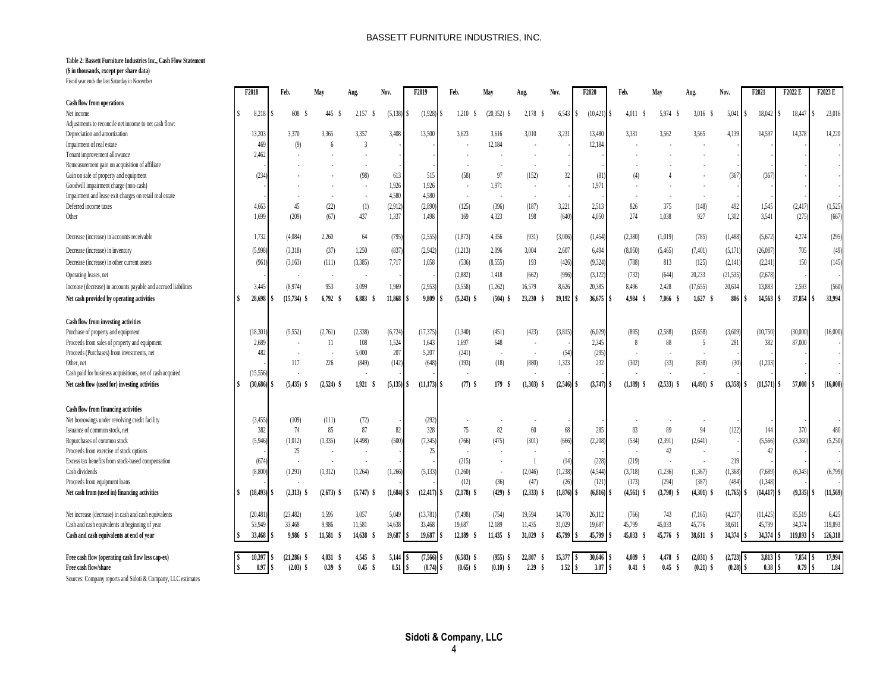#### **Table 2: Bassett Furniture Industries Inc., Cash Flow Statement**

### **(\$ in thousands, except per share data)**

Fiscal year ends the last Saturday in November

|                                                                          | F2018    |                 | Feb.                         | May             | Aug                | Nov.                   | F <sub>2019</sub>      | Feb.                        | May                       | Aug.           | Nov.           | F2020                | Feb.          | May                    | Aug.                        | Nov.              | F2021                      | F2022 E        | F2023 E        |
|--------------------------------------------------------------------------|----------|-----------------|------------------------------|-----------------|--------------------|------------------------|------------------------|-----------------------------|---------------------------|----------------|----------------|----------------------|---------------|------------------------|-----------------------------|-------------------|----------------------------|----------------|----------------|
| Cash flow from operations                                                |          |                 |                              |                 |                    |                        |                        |                             |                           |                |                |                      |               |                        |                             |                   |                            |                |                |
| Net income                                                               |          | 8,218           | 608                          | 445             | 2,157<br>- S       | $(5,138)$ \$           | $(1.928)$ \$           | 1,210                       | $(20.352)$ \$             | 2,178          | 6,543          | (10, 421)            | 4,011         | 5,974                  | 3,016<br>- 5                | 5,041             | 18,042                     | 18,447<br>l \$ | 23,016         |
| Adjustments to reconcile net income to net cash flow:                    |          |                 |                              |                 |                    |                        |                        |                             |                           |                |                |                      |               |                        |                             |                   |                            |                |                |
| Depreciation and amortization                                            | 13.203   |                 | 3.370                        | 3.365           | 3.357              | 3.408                  | 13.500                 | 3.623                       | 3.616                     | 3.010          | 3.231          | 13,480               | 3.331         | 3.562                  | 3.565                       | 4,139             | 14.597                     | 14.378         | 14,220         |
| Impairment of real estate                                                |          | 469             | (9)                          | $6\overline{6}$ | $\overline{3}$     |                        |                        |                             | 12,184                    |                |                | 12,184               |               |                        |                             |                   |                            |                |                |
| Tenant improvement allowance                                             |          | 2.462           |                              |                 |                    |                        |                        |                             |                           |                |                |                      |               |                        |                             |                   |                            |                |                |
| Remeasurement gain on acquisition of affiliate                           |          |                 |                              |                 |                    |                        |                        |                             |                           |                |                |                      |               |                        |                             |                   |                            |                |                |
| Gain on sale of property and equipment                                   |          | (234)           |                              |                 | (98)               | 613                    | 515                    | (58)                        | 97                        | (152)          | 32             | (81)                 | (4)           |                        |                             | (367)             | (367)                      |                |                |
| Goodwill impairment charge (non-cash)                                    |          |                 |                              |                 |                    | 1.926                  | 1.926                  |                             | 1.971                     |                |                | 1,971                |               |                        |                             |                   |                            |                |                |
| Impairment and lease exit charges on retail real estate                  |          |                 |                              |                 |                    | 4,580                  | 4.580                  | $\overline{\phantom{a}}$    |                           |                |                |                      |               |                        |                             |                   |                            |                |                |
| Deferred income taxes                                                    |          | 4,663           | 45                           | (22)            | (1)                | (2.912)                | (2.890)                | (125)                       | (396)                     | (187)          | 3,221          | 2,513                | 826           | 375                    | (148)                       | 492               | 1,545                      | (2, 417)       | (1,525)        |
| Other                                                                    |          | 1.699           | (209)                        | (67)            | 437                | 1,337                  | 1.498                  | 169                         | 4.323                     | 198            | (640)          | 4.050                | 274           | 1.038                  | 927                         | 1,302             | 3,541                      | (275)          | (667)          |
| Decrease (increase) in accounts receivable                               |          | 1.732           | (4,084)                      | 2.260           | 64                 | (795)                  | (2,555)                | (1,873)                     | 4.356                     | (931)          | (3,006)        | (1,454)              | (2,380)       | (1,019)                | (785)                       | (1,488)           | (5,672)                    | 4,274          | (295)          |
| Decrease (increase) in inventory                                         |          | (5.998)         | (3,318)                      | (37)            | 1,250              | (837)                  | (2.942)                | (1,213)                     | 2,096                     | 3,004          | 2,607          | 6,494                | (8,050)       | (5,465)                | (7,401)                     | (5,171)           | (26,087)                   | 705            | (49)           |
| Decrease (increase) in other current assets                              |          | (961)           | (3,163)                      | (111)           | (3.385)            | 7,717                  | 1.058                  | (536)                       | (8.555)                   | 193            | (426)          | (9,324)              | (788)         | 813                    | (125)                       | (2,141)           | (2, 241)                   | 150            | (145)          |
| Operating leases, net                                                    |          |                 |                              |                 |                    |                        |                        | (2,882)                     | 1,418                     | (662)          | (996)          | (3,122)              | (732)         | (644)                  | 20.233                      | (21, 535)         | (2,678)                    |                |                |
| Increase (decrease) in accounts payable and accrued liabilities          |          | 3,445           | (8.974)                      | 953             | 3,099              | 1,969                  | (2,953)                | (3.558)                     | (1,262)                   | 16,579         | 8.626          | 20,385               | 8,496         | 2,428                  | (17, 655)                   | 20,614            | 13,883                     | 2,593          | (560)          |
| Net cash provided by operating activities                                |          | 28,698          | $(15,734)$ \$                | 6.792 S         | 6,883<br>- \$      | $11.868$ $\frac{1}{3}$ | 9,809                  | $(5,243)$ \$                | $(504)$ \$                | 23,230 \$      | 19,192         | 36,675               | 4,984         | 7,066 \$               | 1.627                       | 886               | 14,563                     | 37,854         | 33,994         |
|                                                                          |          |                 |                              |                 |                    |                        |                        |                             |                           |                |                |                      |               |                        |                             |                   |                            |                |                |
| Cash flow from investing activities                                      |          |                 |                              |                 |                    |                        |                        |                             |                           |                |                |                      |               |                        |                             |                   |                            |                |                |
| Purchase of property and equipment                                       | (18.301) |                 | (5.552)                      | (2,761)         | (2,338)            | (6, 724)               | (17.375)               | (1,340)                     | (451)                     | (423)          | (3, 815)       | (6,029)              | (895)         | (2,588)                | (3,658)                     | (3,609)           | (10,750)                   | (30,000)       | (16,000)       |
| Proceeds from sales of property and equipment                            |          | 2.689           | $\overline{\phantom{a}}$     | 11              | 108                | 1,524                  | 1,643                  | 1.697                       | 648                       |                |                | 2,345                | $\mathbf{8}$  | 88                     | -5                          | 281               | 382                        | 87,000         |                |
| Proceeds (Purchases) from investments, net                               |          | 482             | $\sim$                       |                 | 5,000              | 207                    | 5,207                  | (241)                       |                           |                | (54)           | (295)                |               |                        |                             |                   |                            |                |                |
| Other, net                                                               |          |                 | 117                          | 226             | (849)              | (142)                  | (648)                  | (193)                       | (18)                      | (880)          | 1,323          | 232                  | (302)         | (33)                   | (838)                       | (30)              | (1,203)                    |                |                |
| Cash paid for business acquisitions, net of cash acquired                | (15.556) |                 |                              |                 |                    |                        |                        |                             |                           |                |                |                      |               |                        |                             |                   |                            |                |                |
| Net cash flow (used for) investing activities                            |          | $(30,686)$ \$   | $(5,435)$ \$                 | $(2,524)$ \$    | $1,921$ \$         | $(5,135)$ \$           | $(11,173)$ \$          | $(77)$ \$                   | 179<br>- S                | $(1,303)$ \$   | $(2,546)$ \$   | (3,747)              | $(1,189)$ \$  | $(2,533)$ \$           | $(4,491)$ \$                | (3.358)           | (11,571)                   | 57,000<br>IS   | (16,000)<br>S  |
|                                                                          |          |                 |                              |                 |                    |                        |                        |                             |                           |                |                |                      |               |                        |                             |                   |                            |                |                |
| Cash flow from financing activities                                      |          |                 |                              |                 |                    |                        |                        |                             |                           |                |                |                      |               |                        |                             |                   |                            |                |                |
| Net borrowings under revolving credit facility                           |          | (3,455)         | (109)                        | (111)           | (72)               |                        | (292)                  |                             |                           |                |                |                      |               |                        |                             |                   |                            |                |                |
| Issuance of common stock, net                                            |          | 382             | 74                           | 85              | 87                 | 82                     | 328                    | 75                          | 82                        | 60             | 68             | 285                  | 83            | 89                     | 94                          | (122)             | 144                        | 370            | 480            |
| Repurchases of common stock                                              |          | (5.946)         | (1,012)                      | (1,335)         | (4,498)            | (500)                  | (7, 345)               | (766)                       | (475)                     | (301)          | (666)          | (2, 208)             | (534)         | (2,391)                | (2,641)                     |                   | (5,566)                    | (3,360)        | (5,250)        |
| Proceeds from exercise of stock options                                  |          |                 | 25                           |                 |                    |                        | 25                     | $\overline{\phantom{a}}$    |                           |                |                |                      |               | 42                     |                             |                   | 42                         |                |                |
| Excess tax benefits from stock-based compensation                        |          | (674)           | $\overline{\phantom{a}}$     |                 |                    |                        |                        | (215)                       |                           |                | (14)           | (228)                | (219)         | $\sim$                 |                             | 219               |                            |                |                |
| Cash dividends                                                           |          | (8,800)         | (1,291)                      | (1,312)         | (1,264)            | (1,266)                | (5, 133)               | (1.260)                     | $\overline{\phantom{a}}$  | (2,046)        | (1, 238)       | (4,544)              | (3,718)       | (1,236)                | (1,367)                     | (1,368)           | (7,689)                    | (6, 345)       | (6,799)        |
| Proceeds from equipment loans                                            |          |                 |                              |                 |                    |                        |                        | (12)                        | (36)                      | (47)           | (26)           | (121)                | (173)         | (294)                  | (387)                       | (494)             | (1,348)                    |                |                |
| Net cash from (used in) financing activities                             |          | $(18, 493)$ \$  | $(2,313)$ \$                 | $(2,673)$ \$    | $(5,747)$ \$       | $(1,684)$ \$           | (12, 417)              | $(2,178)$ \$                | $(429)$ \$                | $(2,333)$ \$   | $(1,876)$ \$   | (6, 816)             | $(4,561)$ \$  | $(3,790)$ \$           | $(4,301)$ \$                | (1,765)           | $(14, 417)$ \$             | (9,335)        | (11, 569)      |
| Net increase (decrease) in cash and cash equivalents                     | (20.481) |                 | (23.482)                     | 1.595           | 3.057              | 5.049                  | (13,781)               | (7.498)                     | (754)                     | 19.594         | 14,770         | 26.112               | (766)         | 743                    | (7,165)                     | (4,237)           | (11, 425)                  | 85,519         | 6,425          |
| Cash and cash equivalents at beginning of year                           | 53,949   |                 | 33,468                       | 9.986           | 11,581             | 14,638                 | 33,468                 | 19,687                      | 12,189                    | 11,435         | 31,029         | 19,687               | 45,799        | 45,033                 | 45,776                      | 38,611            | 45,799                     | 34,374         | 119,893        |
| Cash and cash equivalents at end of year                                 | 33,468   |                 | 9,986 \$                     | 11,581 \$       | 14,638 \$          | 19,687                 | 19,687                 | 12,189 \$                   | $11,435$ \$               | 31,029 \$      | 45,799         | 45,799<br>۱ŝ         | 45,033        | 45,776 \$              | 38,611 \$                   | 34,374            | 34,374 \$                  | 119,893        | 126,318        |
|                                                                          |          |                 |                              |                 |                    |                        |                        |                             |                           |                |                |                      |               |                        |                             |                   |                            |                |                |
| Free cash flow (operating cash flow less cap-ex)<br>Free cash flow/share |          | 10,397<br>0.97S | $(21,286)$ \$<br>$(2.03)$ \$ | 4.031 S<br>0.39 | 4.545 \$<br>0.45 S | 5,144<br>l \$<br>0.51  | (7,566)<br>$(0.74)$ \$ | $(6,583)$ \$<br>$(0.65)$ \$ | $(955)$ \$<br>$(0.10)$ \$ | 22,807<br>2.29 | 15,377<br>1.52 | 30,646<br>Ιŝ<br>3.07 | 4,089<br>0.41 | 4.478<br>- 5<br>0.45 S | $(2,031)$ \$<br>$(0.21)$ \$ | (2,723)<br>(0.28) | $3,813$ \$<br>$0.38$ $\pm$ | 7,854<br>0.79  | 17,994<br>1.84 |
| Courage: Company reports and Cidati & Company IIC ostimates              |          |                 |                              |                 |                    |                        |                        |                             |                           |                |                |                      |               |                        |                             |                   |                            |                |                |

Sources: Company reports and Sidoti & Company, LLC estimates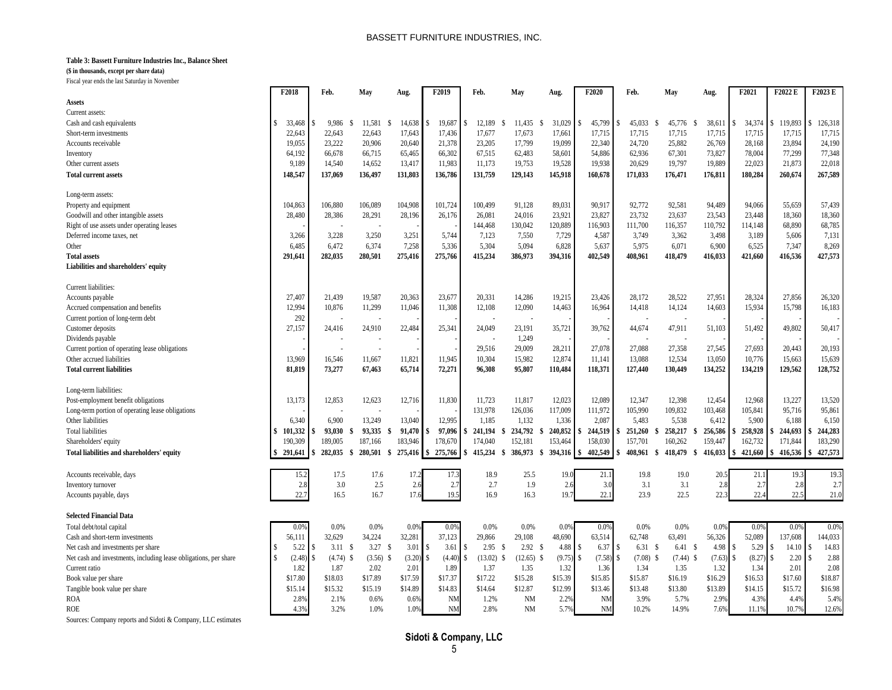#### **Table 3: Bassett Furniture Industries Inc., Balance Sheet**

**(\$ in thousands, except per share data)**

Fiscal year ends the last Saturday in November

| i iscar year cinas uic iast saturuay in rovembe                  | F2018                   | Feb.             |              |               | F <sub>2019</sub> | Feb.          | May                  |             | F2020     | Feb.                 |                    |               | F2021       | F2022 E | $\overline{\text{F2023}}\text{E}$ |
|------------------------------------------------------------------|-------------------------|------------------|--------------|---------------|-------------------|---------------|----------------------|-------------|-----------|----------------------|--------------------|---------------|-------------|---------|-----------------------------------|
|                                                                  |                         |                  | May          | Aug.          |                   |               |                      | Aug.        |           |                      | May                | Aug.          |             |         |                                   |
| Assets                                                           |                         |                  |              |               |                   |               |                      |             |           |                      |                    |               |             |         |                                   |
| Current assets:                                                  |                         |                  |              |               |                   |               |                      |             |           |                      |                    |               |             |         |                                   |
| Cash and cash equivalents                                        | 33,468<br>S.            | 9.986            | 11.581       | 14,638        | 19.687            | 12.189        | 11.435<br>-S         | 31,029      | 45,799    | 45.033               | 45,776             | 38,611        | 34,374      | 119.893 | 126,318                           |
| Short-term investments                                           | 22.643                  | 22.643           | 22.643       | 17.643        | 17.436            | 17.677        | 17.673               | 17.661      | 17,715    | 17.715               | 17.715             | 17,715        | 17.715      | 17.715  | 17,715                            |
| Accounts receivable                                              | 19,055                  | 23,222           | 20,906       | 20,640        | 21,378            | 23,205        | 17,799               | 19,099      | 22,340    | 24,720               | 25,882             | 26,769        | 28,168      | 23,894  | 24,190                            |
| Inventory                                                        | 64,192                  | 66,678           | 66,715       | 65,465        | 66,302            | 67,515        | 62,483               | 58,601      | 54,886    | 62,936               | 67,301             | 73,827        | 78,004      | 77,299  | 77,348                            |
| Other current assets                                             | 9,189                   | 14,540           | 14,652       | 13,417        | 11,983            | 11,173        | 19,753               | 19,528      | 19,938    | 20,629               | 19,797             | 19,889        | 22,023      | 21,873  | 22,018                            |
| <b>Total current assets</b>                                      | 148,547                 | 137,069          | 136,497      | 131,803       | 136,786           | 131,759       | 129,143              | 145,918     | 160,678   | 171,033              | 176,471            | 176,811       | 180,284     | 260,674 | 267,589                           |
|                                                                  |                         |                  |              |               |                   |               |                      |             |           |                      |                    |               |             |         |                                   |
| Long-term assets:                                                |                         |                  |              |               |                   |               |                      |             |           |                      |                    |               |             |         |                                   |
| Property and equipment                                           | 104.863                 | 106,880          | 106.089      | 104,908       | 101,724           | 100.499       | 91.128               | 89,031      | 90,917    | 92,772               | 92.581             | 94,489        | 94.066      | 55.659  | 57,439                            |
| Goodwill and other intangible assets                             | 28,480                  | 28,386           | 28,291       | 28,196        | 26,176            | 26,081        | 24,016               | 23,921      | 23,827    | 23,732               | 23,637             | 23,543        | 23,448      | 18,360  | 18,360                            |
| Right of use assets under operating leases                       |                         |                  |              |               |                   | 144,468       | 130,042              | 120,889     | 116,903   | 111,700              | 116,357            | 110,792       | 114,148     | 68,890  | 68,785                            |
| Deferred income taxes, net                                       | 3,266                   | 3,228            | 3,250        | 3,251         | 5.744             | 7,123         | 7,550                | 7,729       | 4,587     | 3.749                | 3,362              | 3,498         | 3,189       | 5,606   | 7,131                             |
| Other                                                            | 6,485                   | 6.472            | 6,374        | 7,258         | 5,336             | 5.304         | 5.094                | 6,828       | 5,637     | 5.975                | 6,071              | 6,900         | 6.525       | 7.347   | 8,269                             |
| <b>Total assets</b>                                              | 291,641                 | 282,035          | 280,501      | 275,416       | 275,766           | 415,234       | 386,973              | 394,316     | 402,549   | 408,961              | 418,479            | 416,033       | 421,660     | 416,536 | 427,573                           |
|                                                                  |                         |                  |              |               |                   |               |                      |             |           |                      |                    |               |             |         |                                   |
| Liabilities and shareholders' equity                             |                         |                  |              |               |                   |               |                      |             |           |                      |                    |               |             |         |                                   |
| Current liabilities:                                             |                         |                  |              |               |                   |               |                      |             |           |                      |                    |               |             |         |                                   |
|                                                                  | 27,407                  | 21,439           | 19,587       |               | 23,677            | 20,331        | 14,286               | 19,215      | 23,426    | 28,172               | 28,522             | 27,951        | 28,324      | 27,856  | 26,320                            |
| Accounts payable                                                 |                         |                  |              | 20,363        |                   |               |                      |             |           |                      |                    |               |             |         |                                   |
| Accrued compensation and benefits                                | 12.994                  | 10,876           | 11,299       | 11,046        | 11,308            | 12,108        | 12,090               | 14,463      | 16,964    | 14,418               | 14,124             | 14,603        | 15,934      | 15,798  | 16,183                            |
| Current portion of long-term debt                                | 292                     |                  |              |               |                   |               |                      |             |           |                      |                    |               |             |         |                                   |
| Customer deposits                                                | 27,157                  | 24,416           | 24,910       | 22,484        | 25,341            | 24,049        | 23,191               | 35,721      | 39,762    | 44,674               | 47,911             | 51,103        | 51,492      | 49,802  | 50,417                            |
| Dividends payable                                                |                         |                  |              |               |                   |               | 1,249                |             |           |                      |                    |               |             |         |                                   |
| Current portion of operating lease obligations                   |                         |                  | ÷,           |               |                   | 29,516        | 29,009               | 28,211      | 27,078    | 27,088               | 27,358             | 27,545        | 27,693      | 20,443  | 20,193                            |
| Other accrued liabilities                                        | 13,969                  | 16,546           | 11,667       | 11,821        | 11,945            | 10,304        | 15,982               | 12,874      | 11,141    | 13,088               | 12,534             | 13,050        | 10,776      | 15,663  | 15,639                            |
| <b>Total current liabilities</b>                                 | 81,819                  | 73,277           | 67,463       | 65,714        | 72,271            | 96,308        | 95,807               | 110,484     | 118,371   | 127,440              | 130,449            | 134,252       | 134,219     | 129,562 | 128,752                           |
| Long-term liabilities:                                           |                         |                  |              |               |                   |               |                      |             |           |                      |                    |               |             |         |                                   |
| Post-employment benefit obligations                              | 13,173                  | 12,853           | 12,623       | 12,716        | 11,830            | 11,723        | 11,817               | 12,023      | 12,089    | 12,347               | 12,398             | 12,454        | 12,968      | 13,227  | 13,520                            |
| Long-term portion of operating lease obligations                 |                         |                  |              |               |                   | 131,978       | 126,036              | 117,009     | 111,972   | 105,990              | 109,832            | 103,468       | 105,841     | 95,716  | 95,861                            |
| Other liabilities                                                | 6.340                   | 6.900            | 13.249       | 13.040        | 12.995            | 1,185         | 1.132                | 1,336       | 2.087     | 5.483                | 5.538              | 6,412         | 5.900       | 6.188   | 6,150                             |
|                                                                  | $\ddot{\textbf{S}}$     |                  | S            |               |                   |               |                      |             |           |                      |                    |               |             |         |                                   |
| <b>Total liabilities</b>                                         | 101,332                 | 93,030           | 93,335<br>S  | 91,470        | 97,096            | 241,194<br>S  | 234,792<br>-S        | 240,852     | 244,519   | 251,260              | 258,217<br>S<br>-9 | 256,586       | 258,928     | 244,693 | 244,283                           |
| Shareholders' equity                                             | 190.309                 | 189,005          | 187,166      | 183,946       | 178,670           | 174,040       | 152,181              | 153,464     | 158,030   | 157,701              | 160,262            | 159,447       | 162,732     | 171,844 | 183,290                           |
| Total liabilities and shareholders' equity                       | 291,641                 | 282,035          | 280.501<br>S | 275.416<br>S  | 275,766           | 415,234       | 386,973<br>-S        | $394.316$ S | 402,549   | 408.961              | 418,479<br>-S      | 416,033<br>-S | 421,660     | 416,536 | 427,573                           |
| Accounts receivable, days                                        | 15.2                    | 17.5             | 17.6         | 17.2          | 17.3              | 18.9          | 25.5                 | 19.0        | 21.1      | 19.8                 | 19.0               | 20.           | 21.1        | 19.3    | 19.3                              |
| Inventory turnover                                               | 2.8                     | 3.0              | 2.5          | 2.6           | 2.7               | 2.7           | 1.9                  | 2.6         | 3.0       | 3.1                  | 3.1                | 2.8           | 2.7         | 2.8     | 2.7                               |
| Accounts payable, days                                           | 22.7                    | 16.5             | 16.7         | 17.           | 19.5              | 16.9          | 16.3                 | 19.7        | 22.1      | 23.9                 | 22.5               | 22.3          | 22.4        | 22.5    | 21.0                              |
|                                                                  |                         |                  |              |               |                   |               |                      |             |           |                      |                    |               |             |         |                                   |
| <b>Selected Financial Data</b>                                   |                         |                  |              |               |                   |               |                      |             |           |                      |                    |               |             |         |                                   |
| Total debt/total capital                                         | 0.09                    | 0.0%             | 0.0%         | $0.0^{\circ}$ | 0.09              | 0.0%          | 0.0%                 | 0.09        | 0.0%      | 0.0%                 | 0.0%               | 0.09          | 0.09        | 0.09    | 0.0%                              |
| Cash and short-term investments                                  | 56,111                  | 32,629           | 34,224       | 32,281        | 37,123            | 29,866        | 29,108               | 48,690      | 63,514    | 62,748               | 63,491             | 56,326        | 52,089      | 137,608 | 144,033                           |
| Net cash and investments per share                               | 5.22<br>-8              | 3.11S            | 3.27         | 3.01<br>-S    | 3.61              | 2.95<br>-S    | 2.92S                | 4.88        | 6.37      | 6.31<br><sup>S</sup> | - S<br>6.41 S      | 4.98          | 5.29<br>-8  | 14.10   | 14.83                             |
| Net cash and investments, including lease obligations, per share | (2.48)<br>$\mathcal{S}$ | $(4.74)$ \$<br>Ś | (3.56)       | (3.20)<br>-S  | (4.40)            | (13.02)<br>\$ | (12.65)<br>S<br>- \$ | (9.75)      | (7.58)    | (7.08)<br>\$.        | -S<br>(7.44)<br>-S | (7.63)        | (8.27)<br>S | 2.20    | 2.88                              |
| Current ratio                                                    | 1.82                    | 1.87             | 2.02         | 2.01          | 1.89              | 1.37          | 1.35                 | 1.32        | 1.36      | 1.34                 | 1.35               | 1.32          | 1.34        | 2.01    | 2.08                              |
| Book value per share                                             | \$17.80                 | \$18.03          | \$17.89      | \$17.59       | \$17.37           | \$17.22       | \$15.28              | \$15.39     | \$15.85   | \$15.87              | \$16.19            | \$16.29       | \$16.53     | \$17.60 | \$18.87                           |
| Tangible book value per share                                    | \$15.14                 | \$15.32          | \$15.19      | \$14.89       | \$14.83           | \$14.64       | \$12.87              | \$12.99     | \$13.46   | \$13.48              | \$13.80            | \$13.89       | \$14.15     | \$15.72 | \$16.98                           |
|                                                                  |                         |                  |              |               |                   |               |                      |             |           |                      |                    |               |             |         |                                   |
| <b>ROA</b>                                                       | 2.89                    | 2.1%             | 0.6%         | 0.69          | <b>NM</b>         | 1.2%          | <b>NM</b>            | 2.29        | <b>NM</b> | 3.9%                 | 5.7%               | 2.9%          | 4.3%        | 4.4%    | 5.4%                              |
| <b>ROE</b>                                                       | 4.3%                    | 3.2%             | 1.0%         | 1.0%          | <b>NM</b>         | 2.8%          | <b>NM</b>            | 5.7%        | <b>NM</b> | 10.2%                | 14.9%              | 7.6%          | 11.1%       | 10.7%   | 12.6%                             |

Sources: Company reports and Sidoti & Company, LLC estimates

**Sidoti & Company, LLC**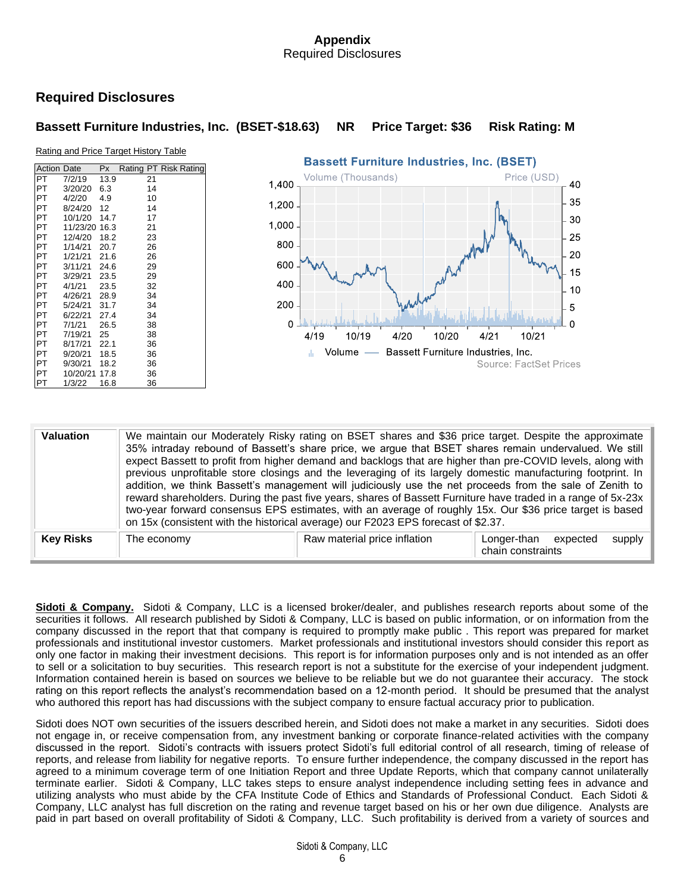## **Appendix** Required Disclosures

# **Required Disclosures**

# **Bassett Furniture Industries, Inc. (BSET-\$18.63) NR Price Target: \$36 Risk Rating: M**

#### Rating and Price Target History Table

| <b>Action Date</b> |          | Px   | Rating PT Risk Rating |    |  |
|--------------------|----------|------|-----------------------|----|--|
| PT                 | 7/2/19   | 13.9 |                       | 21 |  |
| PT                 | 3/20/20  | 6.3  |                       | 14 |  |
| PT                 | 4/2/20   | 4.9  |                       | 10 |  |
| PT                 | 8/24/20  | 12   |                       | 14 |  |
| PT                 | 10/1/20  | 14.7 |                       | 17 |  |
| PT                 | 11/23/20 | 16.3 |                       | 21 |  |
| PT                 | 12/4/20  | 18.2 |                       | 23 |  |
| PT                 | 1/14/21  | 20.7 |                       | 26 |  |
| PT                 | 1/21/21  | 21.6 |                       | 26 |  |
| PT                 | 3/11/21  | 24.6 |                       | 29 |  |
| PT                 | 3/29/21  | 23.5 |                       | 29 |  |
| PT                 | 4/1/21   | 23.5 |                       | 32 |  |
| PT                 | 4/26/21  | 28.9 |                       | 34 |  |
| PT                 | 5/24/21  | 31.7 |                       | 34 |  |
| PT                 | 6/22/21  | 27.4 |                       | 34 |  |
| PT                 | 7/1/21   | 26.5 |                       | 38 |  |
| PT                 | 7/19/21  | 25   |                       | 38 |  |
| PT                 | 8/17/21  | 22.1 |                       | 36 |  |
| PT                 | 9/20/21  | 18.5 |                       | 36 |  |
| PT                 | 9/30/21  | 18.2 |                       | 36 |  |
| PT                 | 10/20/21 | 17.8 |                       | 36 |  |
| PT                 | 1/3/22   | 16.8 |                       | 36 |  |



| <b>Valuation</b> |             | We maintain our Moderately Risky rating on BSET shares and \$36 price target. Despite the approximate<br>35% intraday rebound of Bassett's share price, we argue that BSET shares remain undervalued. We still<br>expect Bassett to profit from higher demand and backlogs that are higher than pre-COVID levels, along with<br>previous unprofitable store closings and the leveraging of its largely domestic manufacturing footprint. In<br>addition, we think Bassett's management will judiciously use the net proceeds from the sale of Zenith to<br>reward shareholders. During the past five years, shares of Bassett Furniture have traded in a range of 5x-23x<br>two-year forward consensus EPS estimates, with an average of roughly 15x. Our \$36 price target is based<br>on 15x (consistent with the historical average) our F2023 EPS forecast of \$2.37. |                                                        |
|------------------|-------------|---------------------------------------------------------------------------------------------------------------------------------------------------------------------------------------------------------------------------------------------------------------------------------------------------------------------------------------------------------------------------------------------------------------------------------------------------------------------------------------------------------------------------------------------------------------------------------------------------------------------------------------------------------------------------------------------------------------------------------------------------------------------------------------------------------------------------------------------------------------------------|--------------------------------------------------------|
| <b>Key Risks</b> | The economy | Raw material price inflation                                                                                                                                                                                                                                                                                                                                                                                                                                                                                                                                                                                                                                                                                                                                                                                                                                              | supply<br>Longer-than<br>expected<br>chain constraints |

**Sidoti & Company.**Sidoti & Company, LLC is a licensed broker/dealer, and publishes research reports about some of the securities it follows. All research published by Sidoti & Company, LLC is based on public information, or on information from the company discussed in the report that that company is required to promptly make public . This report was prepared for market professionals and institutional investor customers. Market professionals and institutional investors should consider this report as only one factor in making their investment decisions. This report is for information purposes only and is not intended as an offer to sell or a solicitation to buy securities. This research report is not a substitute for the exercise of your independent judgment. Information contained herein is based on sources we believe to be reliable but we do not guarantee their accuracy. The stock rating on this report reflects the analyst's recommendation based on a 12-month period. It should be presumed that the analyst who authored this report has had discussions with the subject company to ensure factual accuracy prior to publication.

Sidoti does NOT own securities of the issuers described herein, and Sidoti does not make a market in any securities. Sidoti does not engage in, or receive compensation from, any investment banking or corporate finance-related activities with the company discussed in the report. Sidoti's contracts with issuers protect Sidoti's full editorial control of all research, timing of release of reports, and release from liability for negative reports. To ensure further independence, the company discussed in the report has agreed to a minimum coverage term of one Initiation Report and three Update Reports, which that company cannot unilaterally terminate earlier. Sidoti & Company, LLC takes steps to ensure analyst independence including setting fees in advance and utilizing analysts who must abide by the CFA Institute Code of Ethics and Standards of Professional Conduct. Each Sidoti & Company, LLC analyst has full discretion on the rating and revenue target based on his or her own due diligence. Analysts are paid in part based on overall profitability of Sidoti & Company, LLC. Such profitability is derived from a variety of sources and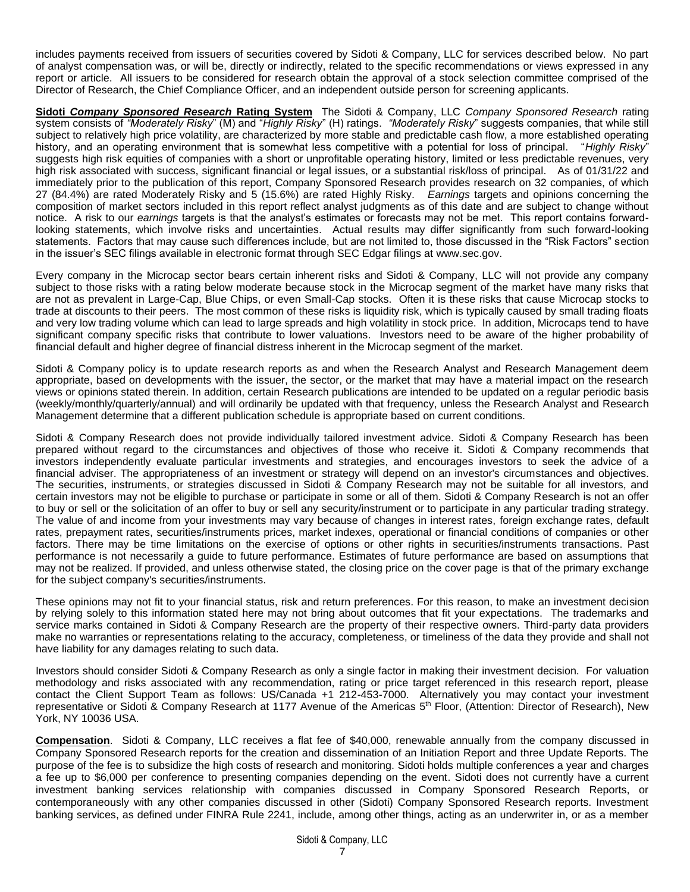includes payments received from issuers of securities covered by Sidoti & Company, LLC for services described below. No part of analyst compensation was, or will be, directly or indirectly, related to the specific recommendations or views expressed in any report or article. All issuers to be considered for research obtain the approval of a stock selection committee comprised of the Director of Research, the Chief Compliance Officer, and an independent outside person for screening applicants.

**Sidoti** *Company Sponsored Research* **Rating System** The Sidoti & Company, LLC *Company Sponsored Research* rating system consists of *"Moderately Risky*" (M) and "*Highly Risky*" (H) ratings. *"Moderately Risky*" suggests companies, that while still subject to relatively high price volatility, are characterized by more stable and predictable cash flow, a more established operating history, and an operating environment that is somewhat less competitive with a potential for loss of principal. "*Highly Risky*" suggests high risk equities of companies with a short or unprofitable operating history, limited or less predictable revenues, very high risk associated with success, significant financial or legal issues, or a substantial risk/loss of principal. As of 01/31/22 and immediately prior to the publication of this report, Company Sponsored Research provides research on 32 companies, of which 27 (84.4%) are rated Moderately Risky and 5 (15.6%) are rated Highly Risky. *Earnings* targets and opinions concerning the composition of market sectors included in this report reflect analyst judgments as of this date and are subject to change without notice. A risk to our *earnings* targets is that the analyst's estimates or forecasts may not be met. This report contains forwardlooking statements, which involve risks and uncertainties. Actual results may differ significantly from such forward-looking statements. Factors that may cause such differences include, but are not limited to, those discussed in the "Risk Factors" section in the issuer's SEC filings available in electronic format through SEC Edgar filings at [www.sec.gov.](http://www.sec.gov/)

Every company in the Microcap sector bears certain inherent risks and Sidoti & Company, LLC will not provide any company subject to those risks with a rating below moderate because stock in the Microcap segment of the market have many risks that are not as prevalent in Large-Cap, Blue Chips, or even Small-Cap stocks. Often it is these risks that cause Microcap stocks to trade at discounts to their peers. The most common of these risks is liquidity risk, which is typically caused by small trading floats and very low trading volume which can lead to large spreads and high volatility in stock price. In addition, Microcaps tend to have significant company specific risks that contribute to lower valuations. Investors need to be aware of the higher probability of financial default and higher degree of financial distress inherent in the Microcap segment of the market.

Sidoti & Company policy is to update research reports as and when the Research Analyst and Research Management deem appropriate, based on developments with the issuer, the sector, or the market that may have a material impact on the research views or opinions stated therein. In addition, certain Research publications are intended to be updated on a regular periodic basis (weekly/monthly/quarterly/annual) and will ordinarily be updated with that frequency, unless the Research Analyst and Research Management determine that a different publication schedule is appropriate based on current conditions.

Sidoti & Company Research does not provide individually tailored investment advice. Sidoti & Company Research has been prepared without regard to the circumstances and objectives of those who receive it. Sidoti & Company recommends that investors independently evaluate particular investments and strategies, and encourages investors to seek the advice of a financial adviser. The appropriateness of an investment or strategy will depend on an investor's circumstances and objectives. The securities, instruments, or strategies discussed in Sidoti & Company Research may not be suitable for all investors, and certain investors may not be eligible to purchase or participate in some or all of them. Sidoti & Company Research is not an offer to buy or sell or the solicitation of an offer to buy or sell any security/instrument or to participate in any particular trading strategy. The value of and income from your investments may vary because of changes in interest rates, foreign exchange rates, default rates, prepayment rates, securities/instruments prices, market indexes, operational or financial conditions of companies or other factors. There may be time limitations on the exercise of options or other rights in securities/instruments transactions. Past performance is not necessarily a guide to future performance. Estimates of future performance are based on assumptions that may not be realized. If provided, and unless otherwise stated, the closing price on the cover page is that of the primary exchange for the subject company's securities/instruments.

These opinions may not fit to your financial status, risk and return preferences. For this reason, to make an investment decision by relying solely to this information stated here may not bring about outcomes that fit your expectations. The trademarks and service marks contained in Sidoti & Company Research are the property of their respective owners. Third-party data providers make no warranties or representations relating to the accuracy, completeness, or timeliness of the data they provide and shall not have liability for any damages relating to such data.

Investors should consider Sidoti & Company Research as only a single factor in making their investment decision. For valuation methodology and risks associated with any recommendation, rating or price target referenced in this research report, please contact the Client Support Team as follows: US/Canada +1 212-453-7000. Alternatively you may contact your investment representative or Sidoti & Company Research at 1177 Avenue of the Americas 5<sup>th</sup> Floor, (Attention: Director of Research), New York, NY 10036 USA.

**Compensation**. Sidoti & Company, LLC receives a flat fee of \$40,000, renewable annually from the company discussed in Company Sponsored Research reports for the creation and dissemination of an Initiation Report and three Update Reports. The purpose of the fee is to subsidize the high costs of research and monitoring. Sidoti holds multiple conferences a year and charges a fee up to \$6,000 per conference to presenting companies depending on the event. Sidoti does not currently have a current investment banking services relationship with companies discussed in Company Sponsored Research Reports, or contemporaneously with any other companies discussed in other (Sidoti) Company Sponsored Research reports. Investment banking services, as defined under FINRA Rule 2241, include, among other things, acting as an underwriter in, or as a member